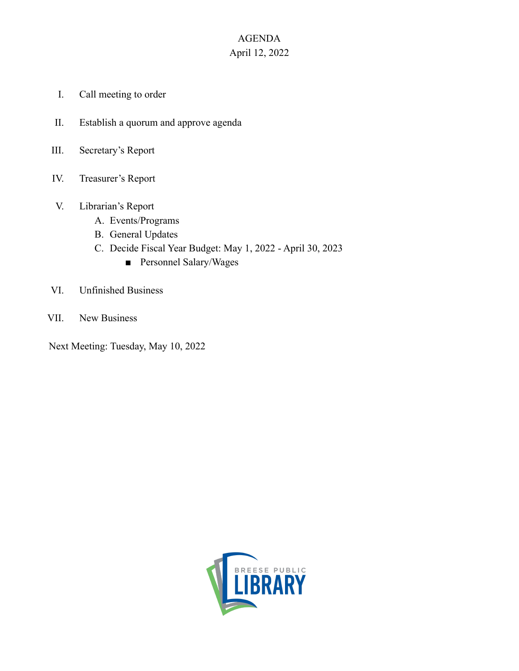## AGENDA April 12, 2022

- I. Call meeting to order
- II. Establish a quorum and approve agenda
- III. Secretary's Report
- IV. Treasurer's Report
- V. Librarian's Report
	- A. Events/Programs
	- B. General Updates
	- C. Decide Fiscal Year Budget: May 1, 2022 April 30, 2023
		- Personnel Salary/Wages
- VI. Unfinished Business
- VII. New Business

Next Meeting: Tuesday, May 10, 2022